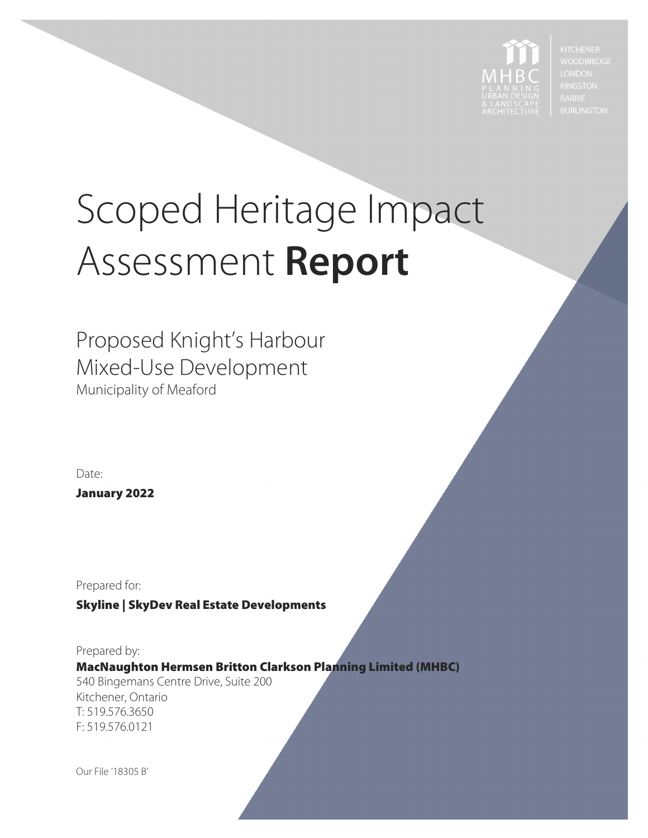

## Scoped Heritage Impact Assessment **Report**

Proposed Knight's Harbour Mixed-Use Development Municipality of Meaford

Date<sup>.</sup>

January 2022

Prepared for:

Skyline | SkyDev Real Estate Developments

Prepared by: MacNaughton Hermsen Britton Clarkson Planning Limited (MHBC) 540 Bingemans Centre Drive, Suite 200 Kitchener, Ontario T: 519.576.3650 F: 519.576.0121

Our File '18305 B'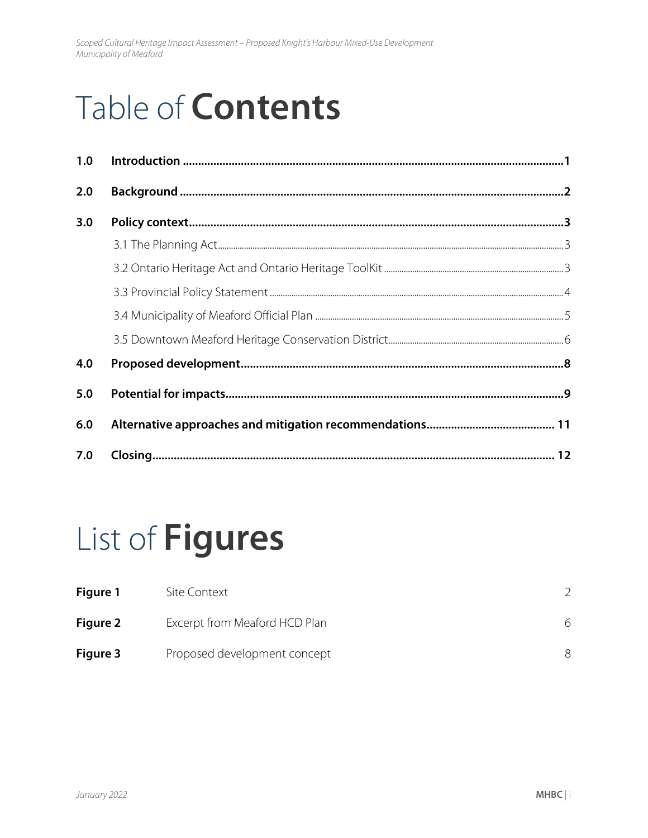## Table of **Contents**

| 1.0 |  |
|-----|--|
| 2.0 |  |
| 3.0 |  |
|     |  |
|     |  |
|     |  |
|     |  |
|     |  |
| 4.0 |  |
| 5.0 |  |
| 6.0 |  |
| 7.0 |  |

### List of Figures

| Figure 1 | Site Context                  |   |
|----------|-------------------------------|---|
| Figure 2 | Excerpt from Meaford HCD Plan | 6 |
| Figure 3 | Proposed development concept  |   |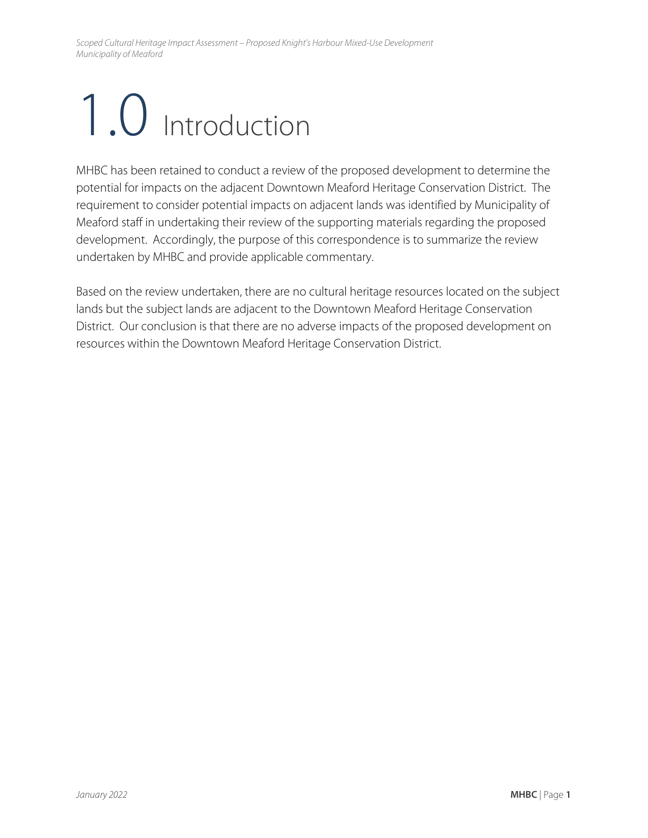## <span id="page-2-0"></span>1.0 Introduction

MHBC has been retained to conduct a review of the proposed development to determine the potential for impacts on the adjacent Downtown Meaford Heritage Conservation District. The requirement to consider potential impacts on adjacent lands was identified by Municipality of Meaford staff in undertaking their review of the supporting materials regarding the proposed development. Accordingly, the purpose of this correspondence is to summarize the review undertaken by MHBC and provide applicable commentary.

Based on the review undertaken, there are no cultural heritage resources located on the subject lands but the subject lands are adjacent to the Downtown Meaford Heritage Conservation District. Our conclusion is that there are no adverse impacts of the proposed development on resources within the Downtown Meaford Heritage Conservation District.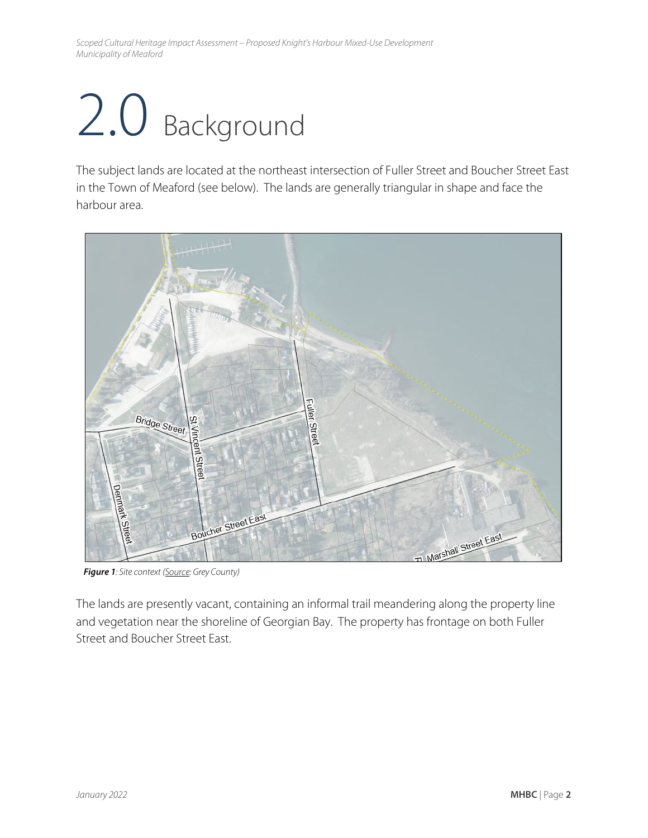## <span id="page-3-0"></span>2.0 Background

The subject lands are located at the northeast intersection of Fuller Street and Boucher Street East in the Town of Meaford (see below). The lands are generally triangular in shape and face the harbour area.



*Figure 1: Site context (Source: Grey County)*

The lands are presently vacant, containing an informal trail meandering along the property line and vegetation near the shoreline of Georgian Bay. The property has frontage on both Fuller Street and Boucher Street East.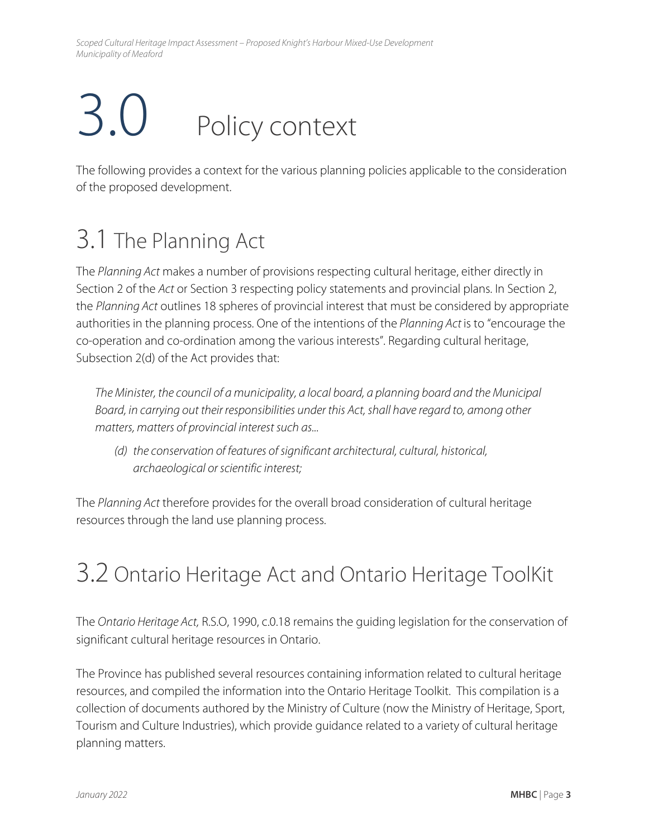# <span id="page-4-0"></span>3.0 Policy context

The following provides a context for the various planning policies applicable to the consideration of the proposed development.

### <span id="page-4-1"></span>3.1 The Planning Act

The *Planning Act* makes a number of provisions respecting cultural heritage, either directly in Section 2 of the *Act* or Section 3 respecting policy statements and provincial plans. In Section 2, the *Planning Act* outlines 18 spheres of provincial interest that must be considered by appropriate authorities in the planning process. One of the intentions of the *Planning Act* is to "encourage the co-operation and co-ordination among the various interests". Regarding cultural heritage, Subsection 2(d) of the Act provides that:

*The Minister, the council of a municipality, a local board, a planning board and the Municipal Board, in carrying out their responsibilities under this Act, shall have regard to, among other matters, matters of provincial interest such as...*

*(d) the conservation of features of significant architectural, cultural, historical, archaeological or scientific interest;* 

The *Planning Act* therefore provides for the overall broad consideration of cultural heritage resources through the land use planning process.

### <span id="page-4-2"></span>3.2 Ontario Heritage Act and Ontario Heritage ToolKit

The *Ontario Heritage Act,* R.S.O, 1990, c.0.18 remains the guiding legislation for the conservation of significant cultural heritage resources in Ontario.

The Province has published several resources containing information related to cultural heritage resources, and compiled the information into the Ontario Heritage Toolkit. This compilation is a collection of documents authored by the Ministry of Culture (now the Ministry of Heritage, Sport, Tourism and Culture Industries), which provide guidance related to a variety of cultural heritage planning matters.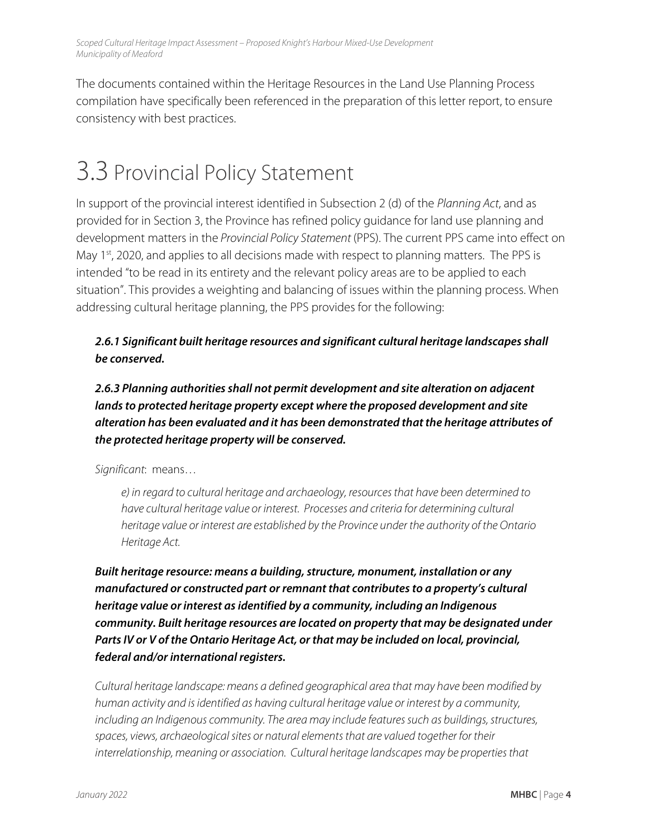The documents contained within the Heritage Resources in the Land Use Planning Process compilation have specifically been referenced in the preparation of this letter report, to ensure consistency with best practices.

### <span id="page-5-0"></span>3.3 Provincial Policy Statement

In support of the provincial interest identified in Subsection 2 (d) of the *Planning Act*, and as provided for in Section 3, the Province has refined policy guidance for land use planning and development matters in the *Provincial Policy Statement* (PPS). The current PPS came into effect on May 1<sup>st</sup>, 2020, and applies to all decisions made with respect to planning matters. The PPS is intended "to be read in its entirety and the relevant policy areas are to be applied to each situation". This provides a weighting and balancing of issues within the planning process. When addressing cultural heritage planning, the PPS provides for the following:

#### *2.6.1 Significant built heritage resources and significant cultural heritage landscapes shall be conserved.*

*2.6.3 Planning authorities shall not permit development and site alteration on adjacent lands to protected heritage property except where the proposed development and site alteration has been evaluated and it has been demonstrated that the heritage attributes of the protected heritage property will be conserved.*

*Significant*: means…

*e) in regard to cultural heritage and archaeology, resources that have been determined to have cultural heritage value or interest. Processes and criteria for determining cultural heritage value or interest are established by the Province under the authority of the Ontario Heritage Act.*

*Built heritage resource: means a building, structure, monument, installation or any manufactured or constructed part or remnant that contributes to a property's cultural heritage value or interest as identified by a community, including an Indigenous community. Built heritage resources are located on property that may be designated under Parts IV or V of the Ontario Heritage Act, or that may be included on local, provincial, federal and/or international registers.*

*Cultural heritage landscape: means a defined geographical area that may have been modified by human activity and is identified as having cultural heritage value or interest by a community, including an Indigenous community. The area may include features such as buildings, structures,*  spaces, views, archaeological sites or natural elements that are valued together for their *interrelationship, meaning or association. Cultural heritage landscapes may be properties that*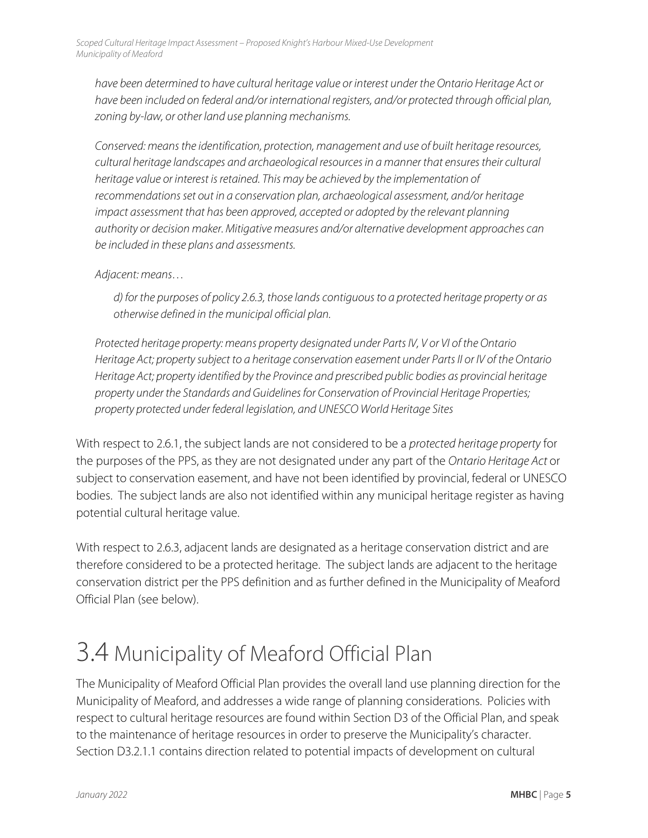*have been determined to have cultural heritage value or interest under the Ontario Heritage Act or have been included on federal and/or international registers, and/or protected through official plan, zoning by-law, or other land use planning mechanisms.*

*Conserved: means the identification, protection, management and use of built heritage resources, cultural heritage landscapes and archaeological resources in a manner that ensures their cultural heritage value or interest is retained. This may be achieved by the implementation of recommendations set out in a conservation plan, archaeological assessment, and/or heritage impact assessment that has been approved, accepted or adopted by the relevant planning authority or decision maker. Mitigative measures and/or alternative development approaches can be included in these plans and assessments.*

#### *Adjacent: means…*

*d) for the purposes of policy 2.6.3, those lands contiguous to a protected heritage property or as otherwise defined in the municipal official plan.*

*Protected heritage property: means property designated under Parts IV, V or VI of the Ontario Heritage Act; property subject to a heritage conservation easement under Parts II or IV of the Ontario Heritage Act; property identified by the Province and prescribed public bodies as provincial heritage property under the Standards and Guidelines for Conservation of Provincial Heritage Properties; property protected under federal legislation, and UNESCO World Heritage Sites*

With respect to 2.6.1, the subject lands are not considered to be a *protected heritage property* for the purposes of the PPS, as they are not designated under any part of the *Ontario Heritage Act* or subject to conservation easement, and have not been identified by provincial, federal or UNESCO bodies. The subject lands are also not identified within any municipal heritage register as having potential cultural heritage value.

With respect to 2.6.3, adjacent lands are designated as a heritage conservation district and are therefore considered to be a protected heritage. The subject lands are adjacent to the heritage conservation district per the PPS definition and as further defined in the Municipality of Meaford Official Plan (see below).

### <span id="page-6-0"></span>3.4 Municipality of Meaford Official Plan

The Municipality of Meaford Official Plan provides the overall land use planning direction for the Municipality of Meaford, and addresses a wide range of planning considerations. Policies with respect to cultural heritage resources are found within Section D3 of the Official Plan, and speak to the maintenance of heritage resources in order to preserve the Municipality's character. Section D3.2.1.1 contains direction related to potential impacts of development on cultural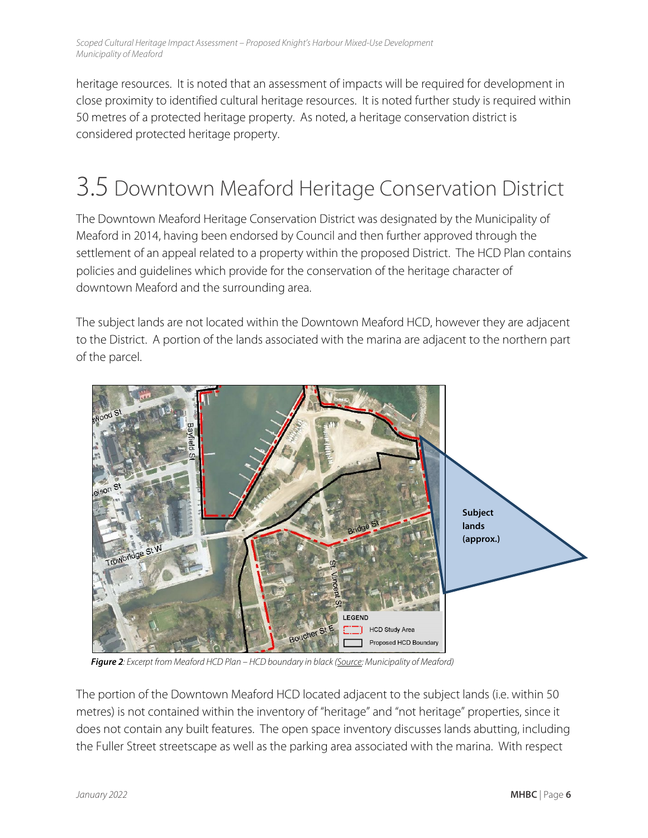heritage resources. It is noted that an assessment of impacts will be required for development in close proximity to identified cultural heritage resources. It is noted further study is required within 50 metres of a protected heritage property. As noted, a heritage conservation district is considered protected heritage property.

### <span id="page-7-0"></span>3.5 Downtown Meaford Heritage Conservation District

The Downtown Meaford Heritage Conservation District was designated by the Municipality of Meaford in 2014, having been endorsed by Council and then further approved through the settlement of an appeal related to a property within the proposed District. The HCD Plan contains policies and guidelines which provide for the conservation of the heritage character of downtown Meaford and the surrounding area.

The subject lands are not located within the Downtown Meaford HCD, however they are adjacent to the District. A portion of the lands associated with the marina are adjacent to the northern part of the parcel.



*Figure 2: Excerpt from Meaford HCD Plan – HCD boundary in black (Source: Municipality of Meaford)*

The portion of the Downtown Meaford HCD located adjacent to the subject lands (i.e. within 50 metres) is not contained within the inventory of "heritage" and "not heritage" properties, since it does not contain any built features. The open space inventory discusses lands abutting, including the Fuller Street streetscape as well as the parking area associated with the marina. With respect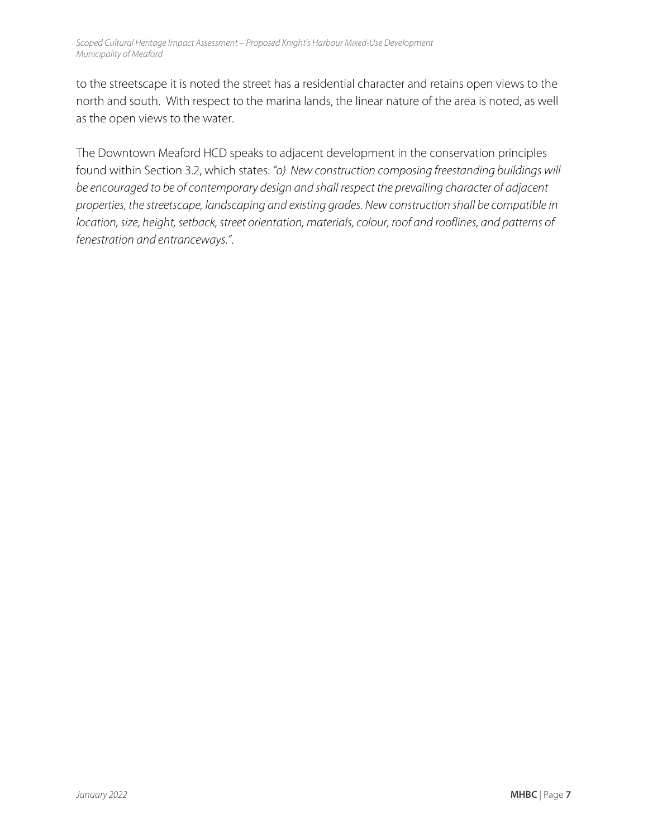to the streetscape it is noted the street has a residential character and retains open views to the north and south. With respect to the marina lands, the linear nature of the area is noted, as well as the open views to the water.

The Downtown Meaford HCD speaks to adjacent development in the conservation principles found within Section 3.2, which states: *"o) New construction composing freestanding buildings will be encouraged to be of contemporary design and shall respect the prevailing character of adjacent properties, the streetscape, landscaping and existing grades. New construction shall be compatible in location, size, height, setback, street orientation, materials, colour, roof and rooflines, and patterns of fenestration and entranceways."*.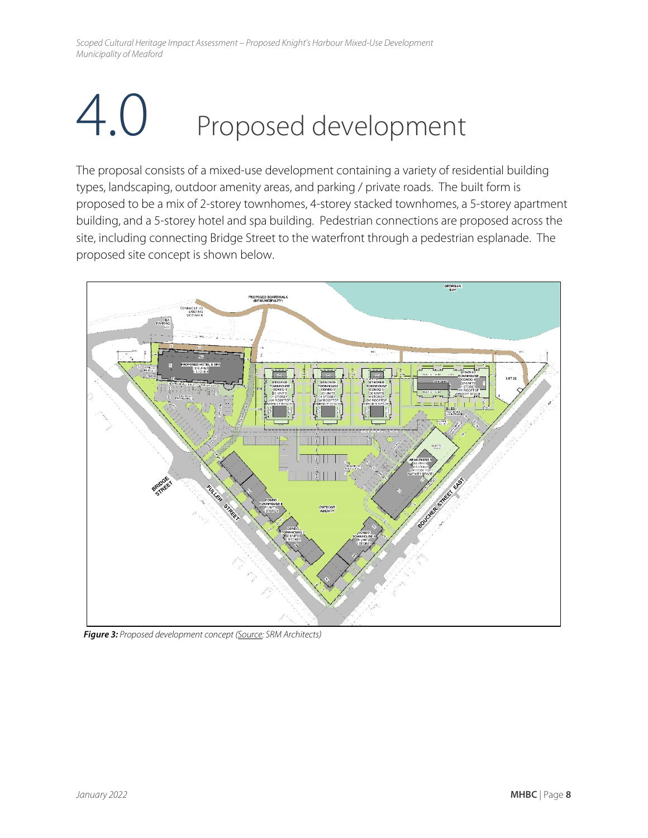# <span id="page-9-0"></span>4.0 Proposed development

The proposal consists of a mixed-use development containing a variety of residential building types, landscaping, outdoor amenity areas, and parking / private roads. The built form is proposed to be a mix of 2-storey townhomes, 4-storey stacked townhomes, a 5-storey apartment building, and a 5-storey hotel and spa building. Pedestrian connections are proposed across the site, including connecting Bridge Street to the waterfront through a pedestrian esplanade. The proposed site concept is shown below.



*Figure 3: Proposed development concept (Source: SRM Architects)*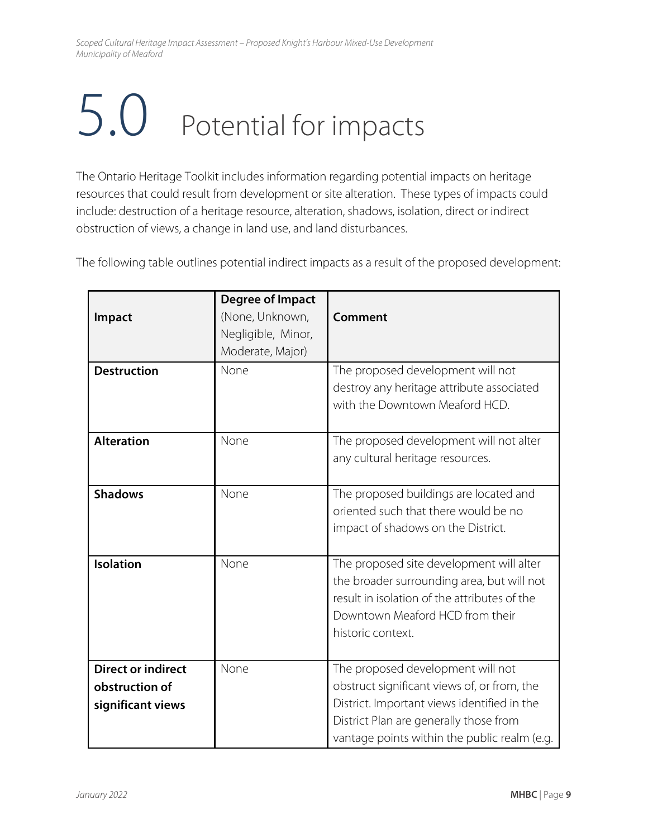## <span id="page-10-0"></span>5.0 Potential for impacts

The Ontario Heritage Toolkit includes information regarding potential impacts on heritage resources that could result from development or site alteration. These types of impacts could include: destruction of a heritage resource, alteration, shadows, isolation, direct or indirect obstruction of views, a change in land use, and land disturbances.

The following table outlines potential indirect impacts as a result of the proposed development:

| Impact                                                           | Degree of Impact<br>(None, Unknown,<br>Negligible, Minor,<br>Moderate, Major) | Comment                                                                                                                                                                                                                   |
|------------------------------------------------------------------|-------------------------------------------------------------------------------|---------------------------------------------------------------------------------------------------------------------------------------------------------------------------------------------------------------------------|
| <b>Destruction</b>                                               | None                                                                          | The proposed development will not<br>destroy any heritage attribute associated<br>with the Downtown Meaford HCD.                                                                                                          |
| <b>Alteration</b>                                                | None                                                                          | The proposed development will not alter<br>any cultural heritage resources.                                                                                                                                               |
| <b>Shadows</b>                                                   | None                                                                          | The proposed buildings are located and<br>oriented such that there would be no<br>impact of shadows on the District.                                                                                                      |
| Isolation                                                        | None                                                                          | The proposed site development will alter<br>the broader surrounding area, but will not<br>result in isolation of the attributes of the<br>Downtown Meaford HCD from their<br>historic context.                            |
| <b>Direct or indirect</b><br>obstruction of<br>significant views | None                                                                          | The proposed development will not<br>obstruct significant views of, or from, the<br>District. Important views identified in the<br>District Plan are generally those from<br>vantage points within the public realm (e.g. |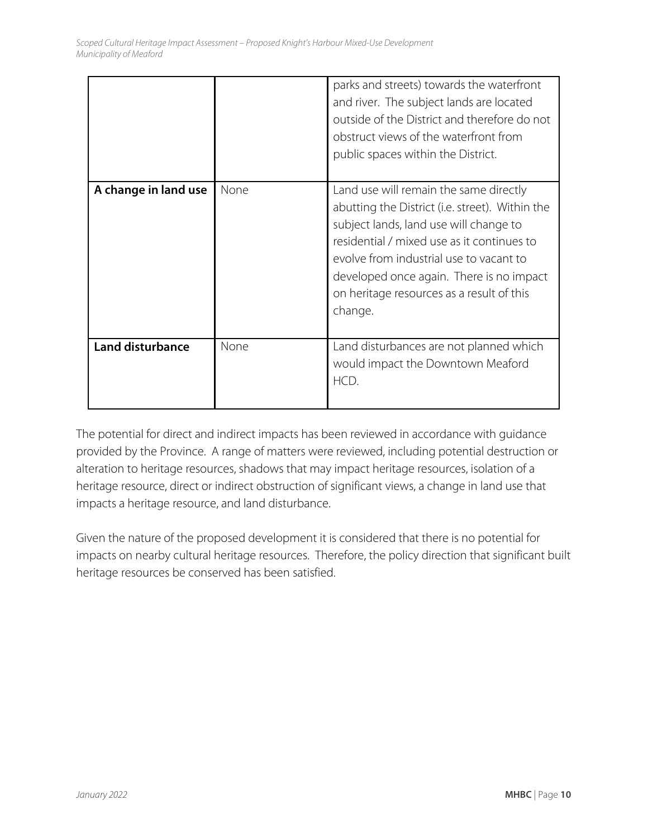|                         |      | parks and streets) towards the waterfront<br>and river. The subject lands are located<br>outside of the District and therefore do not<br>obstruct views of the waterfront from<br>public spaces within the District.                                                                                                             |
|-------------------------|------|----------------------------------------------------------------------------------------------------------------------------------------------------------------------------------------------------------------------------------------------------------------------------------------------------------------------------------|
| A change in land use    | None | Land use will remain the same directly<br>abutting the District (i.e. street). Within the<br>subject lands, land use will change to<br>residential / mixed use as it continues to<br>evolve from industrial use to vacant to<br>developed once again. There is no impact<br>on heritage resources as a result of this<br>change. |
| <b>Land disturbance</b> | None | Land disturbances are not planned which<br>would impact the Downtown Meaford<br>HCD.                                                                                                                                                                                                                                             |

The potential for direct and indirect impacts has been reviewed in accordance with guidance provided by the Province. A range of matters were reviewed, including potential destruction or alteration to heritage resources, shadows that may impact heritage resources, isolation of a heritage resource, direct or indirect obstruction of significant views, a change in land use that impacts a heritage resource, and land disturbance.

Given the nature of the proposed development it is considered that there is no potential for impacts on nearby cultural heritage resources. Therefore, the policy direction that significant built heritage resources be conserved has been satisfied.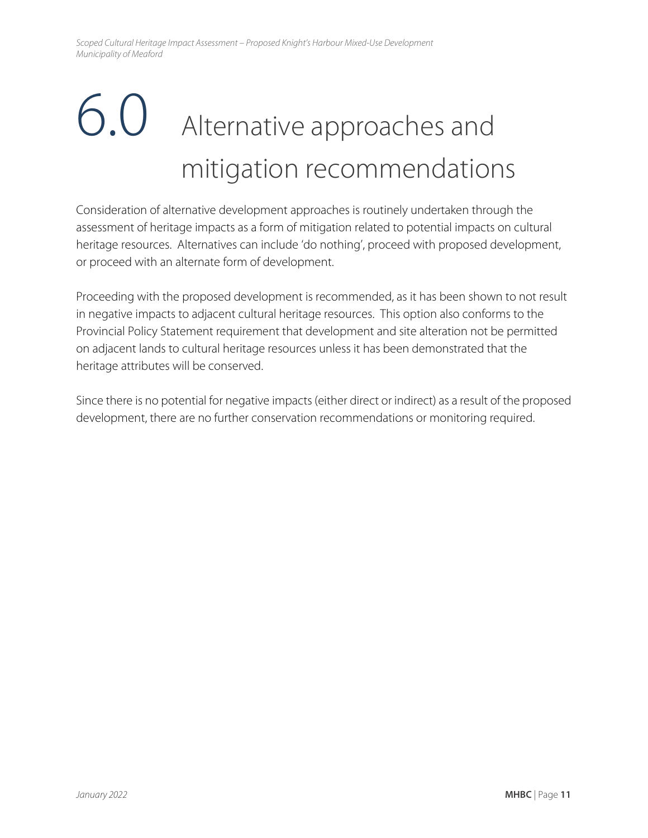## <span id="page-12-0"></span>6.0 Alternative approaches and mitigation recommendations

Consideration of alternative development approaches is routinely undertaken through the assessment of heritage impacts as a form of mitigation related to potential impacts on cultural heritage resources. Alternatives can include 'do nothing', proceed with proposed development, or proceed with an alternate form of development.

Proceeding with the proposed development is recommended, as it has been shown to not result in negative impacts to adjacent cultural heritage resources. This option also conforms to the Provincial Policy Statement requirement that development and site alteration not be permitted on adjacent lands to cultural heritage resources unless it has been demonstrated that the heritage attributes will be conserved.

Since there is no potential for negative impacts (either direct or indirect) as a result of the proposed development, there are no further conservation recommendations or monitoring required.